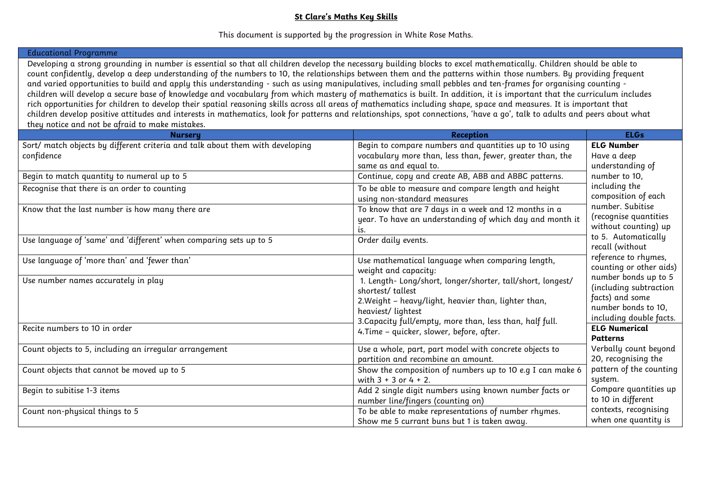## **St Clare's Maths Key Skills**

## This document is supported by the progression in White Rose Maths.

## Educational Programme

Developing a strong grounding in number is essential so that all children develop the necessary building blocks to excel mathematically. Children should be able to count confidently, develop a deep understanding of the numbers to 10, the relationships between them and the patterns within those numbers. By providing frequent and varied opportunities to build and apply this understanding - such as using manipulatives, including small pebbles and ten-frames for organising counting children will develop a secure base of knowledge and vocabulary from which mastery of mathematics is built. In addition, it is important that the curriculum includes rich opportunities for children to develop their spatial reasoning skills across all areas of mathematics including shape, space and measures. It is important that children develop positive attitudes and interests in mathematics, look for patterns and relationships, spot connections, 'have a go', talk to adults and peers about what they notice and not be afraid to make mistakes.

| <b>Nursery</b>                                                                              | <b>Reception</b>                                                                                                    | <b>ELGs</b>                                    |
|---------------------------------------------------------------------------------------------|---------------------------------------------------------------------------------------------------------------------|------------------------------------------------|
| Sort/ match objects by different criteria and talk about them with developing<br>confidence | Begin to compare numbers and quantities up to 10 using<br>vocabulary more than, less than, fewer, greater than, the | <b>ELG Number</b><br>Have a deep               |
|                                                                                             | same as and equal to.                                                                                               | understanding of                               |
| Begin to match quantity to numeral up to 5                                                  | Continue, copy and create AB, ABB and ABBC patterns.                                                                | number to 10,                                  |
| Recognise that there is an order to counting                                                | To be able to measure and compare length and height                                                                 | including the                                  |
|                                                                                             | using non-standard measures                                                                                         | composition of each                            |
| Know that the last number is how many there are                                             | To know that are 7 days in a week and 12 months in a                                                                | number. Subitise                               |
|                                                                                             | year. To have an understanding of which day and month it                                                            | (recognise quantities<br>without counting) up  |
|                                                                                             | LS.                                                                                                                 | to 5. Automatically                            |
| Use language of 'same' and 'different' when comparing sets up to 5                          | Order daily events.                                                                                                 | recall (without                                |
| Use language of 'more than' and 'fewer than'                                                | Use mathematical language when comparing length,                                                                    | reference to rhymes,                           |
|                                                                                             | weight and capacity:                                                                                                | counting or other aids)                        |
| Use number names accurately in play                                                         | 1. Length- Long/short, longer/shorter, tall/short, longest/                                                         | number bonds up to 5<br>(including subtraction |
|                                                                                             | shortest/tallest                                                                                                    | facts) and some                                |
|                                                                                             | 2. Weight - heavy/light, heavier than, lighter than,                                                                | number bonds to 10,                            |
|                                                                                             | heaviest/ lightest<br>3. Capacity full/empty, more than, less than, half full.                                      | including double facts.                        |
| Recite numbers to 10 in order                                                               | 4. Time - quicker, slower, before, after.                                                                           | <b>ELG Numerical</b>                           |
|                                                                                             |                                                                                                                     | <b>Patterns</b>                                |
| Count objects to 5, including an irregular arrangement                                      | Use a whole, part, part model with concrete objects to                                                              | Verbally count beyond                          |
|                                                                                             | partition and recombine an amount.                                                                                  | 20, recognising the                            |
| Count objects that cannot be moved up to 5                                                  | Show the composition of numbers up to 10 e.g I can make 6                                                           | pattern of the counting                        |
|                                                                                             | with $3 + 3$ or $4 + 2$ .                                                                                           | system.                                        |
| Begin to subitise 1-3 items                                                                 | Add 2 single digit numbers using known number facts or                                                              | Compare quantities up                          |
|                                                                                             | number line/fingers (counting on)                                                                                   | to 10 in different                             |
| Count non-physical things to 5                                                              | To be able to make representations of number rhymes.                                                                | contexts, recognising                          |
|                                                                                             | Show me 5 currant buns but 1 is taken away.                                                                         | when one quantity is                           |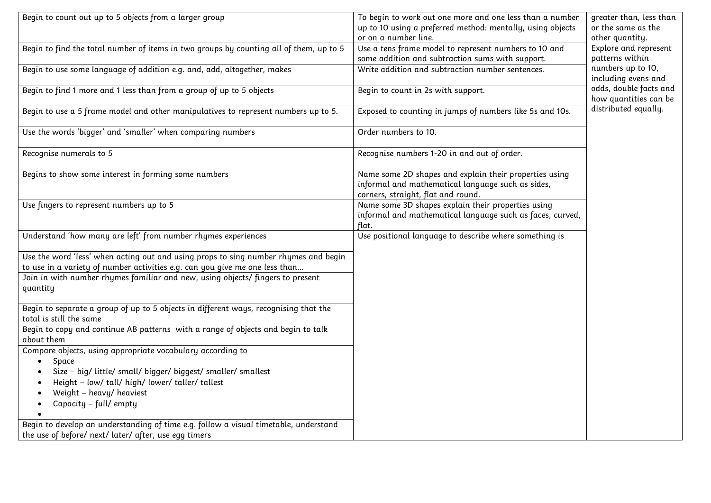| Begin to count out up to 5 objects from a larger group                                                                                                             | To begin to work out one more and one less than a number<br>up to 10 using a preferred method: mentally, using objects                            | greater than, less than<br>or the same as the   |
|--------------------------------------------------------------------------------------------------------------------------------------------------------------------|---------------------------------------------------------------------------------------------------------------------------------------------------|-------------------------------------------------|
|                                                                                                                                                                    | or on a number line.                                                                                                                              | other quantity.                                 |
| Begin to find the total number of items in two groups by counting all of them, up to 5                                                                             | Use a tens frame model to represent numbers to 10 and<br>some addition and subtraction sums with support.                                         | Explore and represent<br>patterns within        |
| Begin to use some language of addition e.g. and, add, altogether, makes                                                                                            | Write addition and subtraction number sentences.                                                                                                  | numbers up to 10,<br>including evens and        |
| Begin to find 1 more and 1 less than from a group of up to 5 objects                                                                                               | Begin to count in 2s with support.                                                                                                                | odds, double facts and<br>how quantities can be |
| Begin to use a 5 frame model and other manipulatives to represent numbers up to 5.                                                                                 | Exposed to counting in jumps of numbers like 5s and 10s.                                                                                          | distributed equally.                            |
| Use the words 'bigger' and 'smaller' when comparing numbers                                                                                                        | Order numbers to 10.                                                                                                                              |                                                 |
| Recognise numerals to 5                                                                                                                                            | Recognise numbers 1-20 in and out of order.                                                                                                       |                                                 |
| Begins to show some interest in forming some numbers                                                                                                               | Name some 2D shapes and explain their properties using<br>informal and mathematical language such as sides,<br>corners, straight, flat and round. |                                                 |
| Use fingers to represent numbers up to 5                                                                                                                           | Name some 3D shapes explain their properties using<br>informal and mathematical language such as faces, curved,<br>flat.                          |                                                 |
| Understand 'how many are left' from number rhymes experiences                                                                                                      | Use positional language to describe where something is                                                                                            |                                                 |
| Use the word 'less' when acting out and using props to sing number rhymes and begin<br>to use in a variety of number activities e.g. can you give me one less than |                                                                                                                                                   |                                                 |
| Join in with number rhymes familiar and new, using objects/ fingers to present<br>quantity                                                                         |                                                                                                                                                   |                                                 |
| Begin to separate a group of up to 5 objects in different ways, recognising that the<br>total is still the same                                                    |                                                                                                                                                   |                                                 |
| Begin to copy and continue AB patterns with a range of objects and begin to talk<br>about them                                                                     |                                                                                                                                                   |                                                 |
| Compare objects, using appropriate vocabulary according to                                                                                                         |                                                                                                                                                   |                                                 |
| Space<br>$\bullet$                                                                                                                                                 |                                                                                                                                                   |                                                 |
| Size - big/ little/ small/ bigger/ biggest/ smaller/ smallest                                                                                                      |                                                                                                                                                   |                                                 |
| Height - low/ tall/ high/ lower/ taller/ tallest                                                                                                                   |                                                                                                                                                   |                                                 |
| Weight - heavy/ heaviest<br>$\bullet$                                                                                                                              |                                                                                                                                                   |                                                 |
| Capacity - full/ empty<br>$\bullet$<br>$\bullet$                                                                                                                   |                                                                                                                                                   |                                                 |
| Begin to develop an understanding of time e.g. follow a visual timetable, understand                                                                               |                                                                                                                                                   |                                                 |
| the use of before/ next/ later/ after, use egg timers                                                                                                              |                                                                                                                                                   |                                                 |